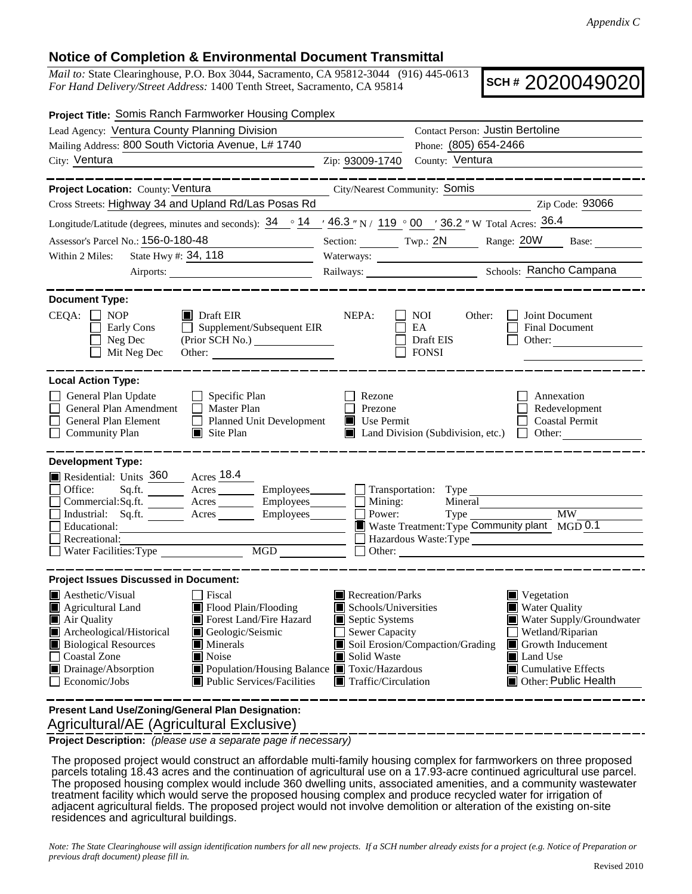## **Notice of Completion & Environmental Document Transmittal**

*Mail to:* State Clearinghouse, P.O. Box 3044, Sacramento, CA 95812-3044 (916) 445-0613 *For Hand Delivery/Street Address:* 1400 Tenth Street, Sacramento, CA 95814

**SCH #** 2020049020

| Project Title: Somis Ranch Farmworker Housing Complex                                                                                                                                        |                                                                                         |                                                      |                                                                          |  |  |
|----------------------------------------------------------------------------------------------------------------------------------------------------------------------------------------------|-----------------------------------------------------------------------------------------|------------------------------------------------------|--------------------------------------------------------------------------|--|--|
| Lead Agency: Ventura County Planning Division                                                                                                                                                | Contact Person: Justin Bertoline                                                        |                                                      |                                                                          |  |  |
| Mailing Address: 800 South Victoria Avenue, L# 1740                                                                                                                                          |                                                                                         | Phone: (805) 654-2466                                |                                                                          |  |  |
| City: Ventura<br><u> 1980 - Johann Barbara, martin a</u>                                                                                                                                     | Zip: 93009-1740                                                                         | County: Ventura                                      |                                                                          |  |  |
|                                                                                                                                                                                              |                                                                                         |                                                      |                                                                          |  |  |
| Project Location: County: Ventura                                                                                                                                                            | City/Nearest Community: Somis                                                           |                                                      |                                                                          |  |  |
| Cross Streets: Highway 34 and Upland Rd/Las Posas Rd                                                                                                                                         |                                                                                         |                                                      | Zip Code: 93066                                                          |  |  |
| Longitude/Latitude (degrees, minutes and seconds): $34 \degree 14$ / $46.3$ "N / 119 $\degree 00$ / 36.2 "W Total Acres: $36.4$                                                              |                                                                                         |                                                      |                                                                          |  |  |
| Assessor's Parcel No.: 156-0-180-48                                                                                                                                                          |                                                                                         |                                                      | Section: Twp.: 2N Range: 20W Base:                                       |  |  |
| State Hwy #: 34, 118<br>Within 2 Miles:                                                                                                                                                      |                                                                                         |                                                      |                                                                          |  |  |
|                                                                                                                                                                                              |                                                                                         |                                                      |                                                                          |  |  |
| <b>Document Type:</b>                                                                                                                                                                        |                                                                                         |                                                      |                                                                          |  |  |
| $CEQA: \Box$<br><b>NOP</b><br>$\blacksquare$ Draft EIR<br>$\Box$ Supplement/Subsequent EIR<br>Early Cons<br>Neg Dec<br>Mit Neg Dec                                                           | NEPA:                                                                                   | NOI<br>Other:<br>EA<br>Draft EIS<br><b>FONSI</b>     | Joint Document<br><b>Final Document</b><br>Other:                        |  |  |
| <b>Local Action Type:</b>                                                                                                                                                                    |                                                                                         |                                                      |                                                                          |  |  |
| General Plan Update<br>$\Box$ Specific Plan<br>General Plan Amendment<br>$\Box$ Master Plan<br>General Plan Element<br>Planned Unit Development<br><b>Community Plan</b><br>$\Box$ Site Plan | Rezone<br>Prezone<br>$\blacksquare$ Use Permit                                          | Land Division (Subdivision, etc.)                    | Annexation<br>Redevelopment<br><b>Coastal Permit</b><br>Other:<br>$\Box$ |  |  |
| <b>Development Type:</b>                                                                                                                                                                     |                                                                                         |                                                      |                                                                          |  |  |
| Residential: Units 360 Acres 18.4                                                                                                                                                            |                                                                                         |                                                      |                                                                          |  |  |
| Office:                                                                                                                                                                                      |                                                                                         | Employees<br><u>Fransportation</u> : Type            |                                                                          |  |  |
| Commercial:Sq.ft. ________ Acres ________ Employees _______ $\Box$<br>Industrial: Sq.ft. _______ Acres ______<br>$Employes$ $\Box$                                                           | Mining:<br>Power:                                                                       | Mineral<br>Type                                      | $\overline{\text{MW}}$                                                   |  |  |
| Educational:                                                                                                                                                                                 | Waste Treatment: Type Community plant MGD 0.1                                           |                                                      |                                                                          |  |  |
| Recreational:                                                                                                                                                                                | Hazardous Waste:Type<br>$\Box$ Other:                                                   |                                                      |                                                                          |  |  |
| Water Facilities: Type                                                                                                                                                                       |                                                                                         |                                                      |                                                                          |  |  |
| <b>Project Issues Discussed in Document:</b>                                                                                                                                                 |                                                                                         |                                                      |                                                                          |  |  |
| $\blacksquare$ Aesthetic/Visual<br>T Fiscal                                                                                                                                                  | Recreation/Parks                                                                        |                                                      | Vegetation                                                               |  |  |
| Flood Plain/Flooding<br>Agricultural Land<br>Forest Land/Fire Hazard<br>Air Quality                                                                                                          | Schools/Universities<br><b>Water Quality</b>                                            |                                                      |                                                                          |  |  |
| Archeological/Historical<br>Geologic/Seismic                                                                                                                                                 | Septic Systems<br>Water Supply/Groundwater<br>Sewer Capacity<br>Wetland/Riparian        |                                                      |                                                                          |  |  |
| <b>Biological Resources</b><br><b>Minerals</b>                                                                                                                                               |                                                                                         | Soil Erosion/Compaction/Grading<br>Growth Inducement |                                                                          |  |  |
| <b>Coastal Zone</b><br>Noise                                                                                                                                                                 | Solid Waste                                                                             | Land Use                                             |                                                                          |  |  |
| Drainage/Absorption<br>Population/Housing Balance Toxic/Hazardous<br>Economic/Jobs<br>Public Services/Facilities                                                                             | <b>Cumulative Effects</b><br>Other: Public Health<br>$\blacksquare$ Traffic/Circulation |                                                      |                                                                          |  |  |
|                                                                                                                                                                                              |                                                                                         |                                                      |                                                                          |  |  |

 Agricultural/AE (Agricultural Exclusive) **Present Land Use/Zoning/General Plan Designation:**

**Project Description:** *(please use a separate page if necessary)*

 The proposed project would construct an affordable multi-family housing complex for farmworkers on three proposed parcels totaling 18.43 acres and the continuation of agricultural use on a 17.93-acre continued agricultural use parcel. The proposed housing complex would include 360 dwelling units, associated amenities, and a community wastewater treatment facility which would serve the proposed housing complex and produce recycled water for irrigation of adjacent agricultural fields. The proposed project would not involve demolition or alteration of the existing on-site residences and agricultural buildings.

*Note: The State Clearinghouse will assign identification numbers for all new projects. If a SCH number already exists for a project (e.g. Notice of Preparation or previous draft document) please fill in.*